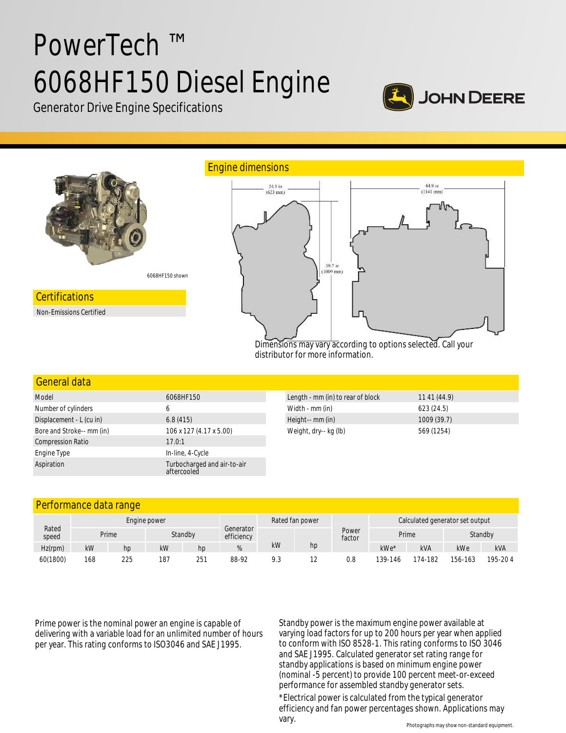# PowerTech ™ 6068HF150 Diesel Engine



Generator Drive Engine Specifications



| General data              |                                            |                                   |            |
|---------------------------|--------------------------------------------|-----------------------------------|------------|
| Model                     | 6068HF150                                  | Length - mm (in) to rear of block | 1141(44.9) |
| Number of cylinders       | b                                          | Width - mm (in)                   | 623(24.5)  |
| Displacement - L (cu in)  | 6.8(415)                                   | Height-- mm (in)                  | 1009(39.7) |
| Bore and Stroke-- mm (in) | 106 x 127 (4.17 x 5.00)                    | Weight, dry-- kg (lb)             | 569 (1254) |
| <b>Compression Ratio</b>  | 17.0:1                                     |                                   |            |
| Engine Type               | In-line, 4-Cycle                           |                                   |            |
| Aspiration                | Turbocharged and air-to-air<br>aftercooled |                                   |            |

# Performance data range

|                | Engine power |     |     |         |                         | Rated fan power |     | Calculated generator set output |         |         |         |         |
|----------------|--------------|-----|-----|---------|-------------------------|-----------------|-----|---------------------------------|---------|---------|---------|---------|
| Rated<br>speed | Prime        |     |     | Standby | Generator<br>efficiency |                 |     | Power<br>factor                 | Prime   |         | Standby |         |
| $Hz$ (rpm)     | kW           | hp  | kW  | hp      |                         | kW              | hp  |                                 | kWe*    | kVA     | kWe     | kVA     |
| 60(1800)       | 168          | 225 | 187 | 251     | 88-92                   | 9.3             | ے ا | 0.8                             | 139-146 | 174-182 | 156-163 | 195-204 |

Prime power is the nominal power an engine is capable of delivering with a variable load for an unlimited number of hours per year. This rating conforms to ISO3046 and SAE J1995.

Standby power is the maximum engine power available at varying load factors for up to 200 hours per year when applied to conform with ISO 8528-1. This rating conforms to ISO 3046 and SAE J1995. Calculated generator set rating range for standby applications is based on minimum engine power (nominal -5 percent) to provide 100 percent meet-or-exceed performance for assembled standby generator sets.

\*Electrical power is calculated from the typical generator efficiency and fan power percentages shown. Applications may vary.